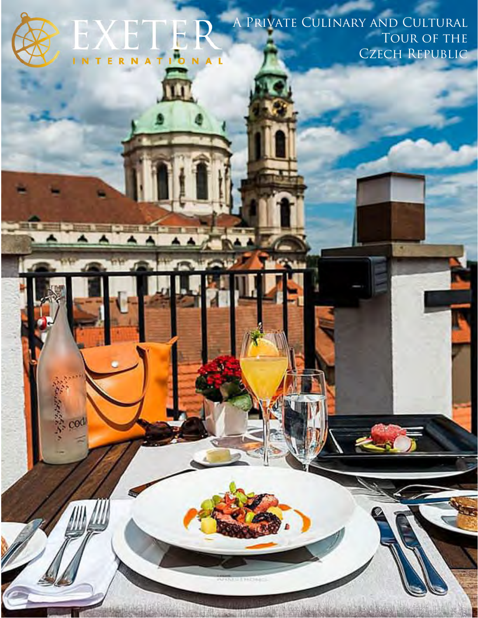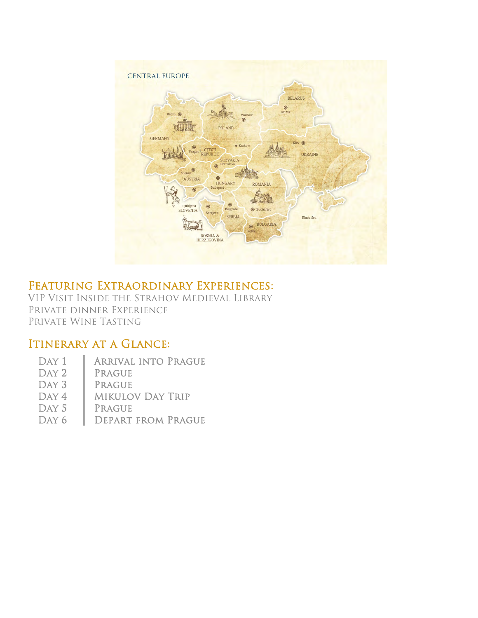

### Featuring Extraordinary Experiences:

VIP Visit Inside the Strahov Medieval Library Private dinner Experience Private Wine Tasting

### ITINERARY AT A GLANCE:

- DAY 1 | ARRIVAL INTO PRAGUE
- DAY 2 | PRAGUE
- DAY 3 | PRAGUE
- DAY 4 | MIKULOV DAY TRIP
- DAY 5 | PRAGUE
- DAY 6 DEPART FROM PRAGUE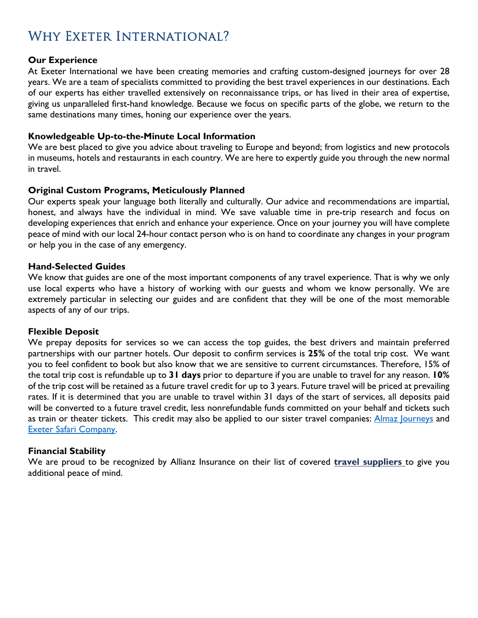# WHY EXETER INTERNATIONAL?

### **Our Experience**

At Exeter International we have been creating memories and crafting custom-designed journeys for over 28 years. We are a team of specialists committed to providing the best travel experiences in our destinations. Each of our experts has either travelled extensively on reconnaissance trips, or has lived in their area of expertise, giving us unparalleled first-hand knowledge. Because we focus on specific parts of the globe, we return to the same destinations many times, honing our experience over the years.

### **Knowledgeable Up-to-the-Minute Local Information**

We are best placed to give you advice about traveling to Europe and beyond; from logistics and new protocols in museums, hotels and restaurants in each country. We are here to expertly guide you through the new normal in travel.

### **Original Custom Programs, Meticulously Planned**

Our experts speak your language both literally and culturally. Our advice and recommendations are impartial, honest, and always have the individual in mind. We save valuable time in pre-trip research and focus on developing experiences that enrich and enhance your experience. Once on your journey you will have complete peace of mind with our local 24-hour contact person who is on hand to coordinate any changes in your program or help you in the case of any emergency.

### **Hand-Selected Guides**

We know that guides are one of the most important components of any travel experience. That is why we only use local experts who have a history of working with our guests and whom we know personally. We are extremely particular in selecting our guides and are confident that they will be one of the most memorable aspects of any of our trips.

#### **Flexible Deposit**

We prepay deposits for services so we can access the top guides, the best drivers and maintain preferred partnerships with our partner hotels. Our deposit to confirm services is **25%** of the total trip cost. We want you to feel confident to book but also know that we are sensitive to current circumstances. Therefore, 15% of the total trip cost is refundable up to **31 days** prior to departure if you are unable to travel for any reason. **10%** of the trip cost will be retained as a future travel credit for up to 3 years. Future travel will be priced at prevailing rates. If it is determined that you are unable to travel within 31 days of the start of services, all deposits paid will be converted to a future travel credit, less nonrefundable funds committed on your behalf and tickets such as train or theater tickets. This credit may also be applied to our sister travel companies: Almaz Journeys and Exeter Safari Company.

#### **Financial Stability**

We are proud to be recognized by Allianz Insurance on their list of covered **travel suppliers** to give you additional peace of mind.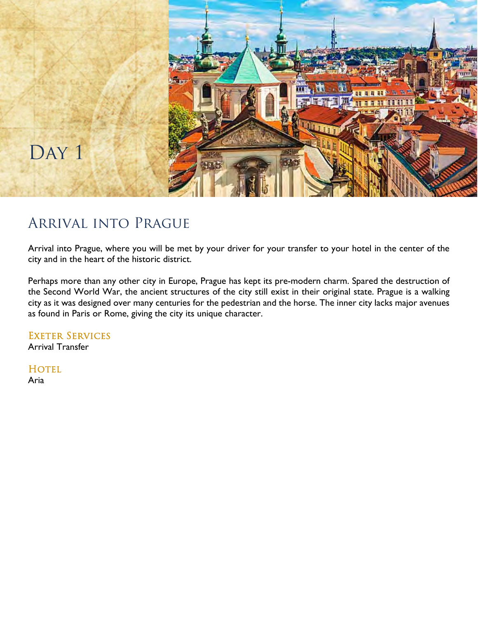

# Arrival into Prague

Arrival into Prague, where you will be met by your driver for your transfer to your hotel in the center of the city and in the heart of the historic district.

Perhaps more than any other city in Europe, Prague has kept its pre-modern charm. Spared the destruction of the Second World War, the ancient structures of the city still exist in their original state. Prague is a walking city as it was designed over many centuries for the pedestrian and the horse. The inner city lacks major avenues as found in Paris or Rome, giving the city its unique character.

EXETER SERVICES Arrival Transfer

HOTEL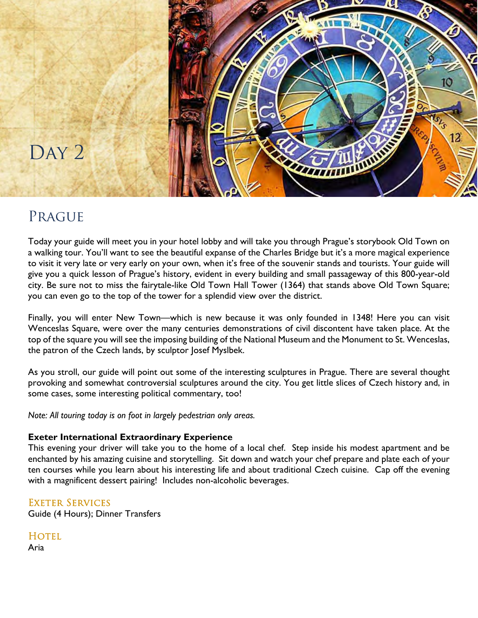

# **PRAGUE**

Today your guide will meet you in your hotel lobby and will take you through Prague's storybook Old Town on a walking tour. You'll want to see the beautiful expanse of the Charles Bridge but it's a more magical experience to visit it very late or very early on your own, when it's free of the souvenir stands and tourists. Your guide will give you a quick lesson of Prague's history, evident in every building and small passageway of this 800-year-old city. Be sure not to miss the fairytale-like Old Town Hall Tower (1364) that stands above Old Town Square; you can even go to the top of the tower for a splendid view over the district.

Finally, you will enter New Town—which is new because it was only founded in 1348! Here you can visit Wenceslas Square, were over the many centuries demonstrations of civil discontent have taken place. At the top of the square you will see the imposing building of the National Museum and the Monument to St. Wenceslas, the patron of the Czech lands, by sculptor Josef Myslbek.

As you stroll, our guide will point out some of the interesting sculptures in Prague. There are several thought provoking and somewhat controversial sculptures around the city. You get little slices of Czech history and, in some cases, some interesting political commentary, too!

*Note: All touring today is on foot in largely pedestrian only areas.* 

### **Exeter International Extraordinary Experience**

This evening your driver will take you to the home of a local chef. Step inside his modest apartment and be enchanted by his amazing cuisine and storytelling. Sit down and watch your chef prepare and plate each of your ten courses while you learn about his interesting life and about traditional Czech cuisine. Cap off the evening with a magnificent dessert pairing! Includes non-alcoholic beverages.

### Exeter Services

Guide (4 Hours); Dinner Transfers

**HOTEL**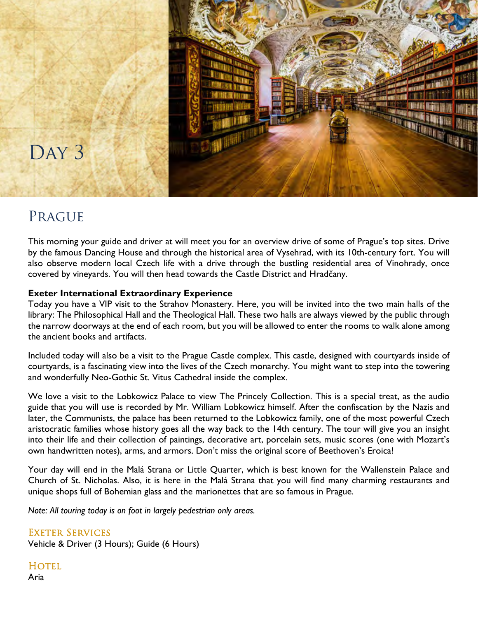

# **PRAGUE**

This morning your guide and driver at will meet you for an overview drive of some of Prague's top sites. Drive by the famous Dancing House and through the historical area of Vysehrad, with its 10th-century fort. You will also observe modern local Czech life with a drive through the bustling residential area of Vinohrady, once covered by vineyards. You will then head towards the Castle District and Hradčany.

### **Exeter International Extraordinary Experience**

Today you have a VIP visit to the Strahov Monastery. Here, you will be invited into the two main halls of the library: The Philosophical Hall and the Theological Hall. These two halls are always viewed by the public through the narrow doorways at the end of each room, but you will be allowed to enter the rooms to walk alone among the ancient books and artifacts.

Included today will also be a visit to the Prague Castle complex. This castle, designed with courtyards inside of courtyards, is a fascinating view into the lives of the Czech monarchy. You might want to step into the towering and wonderfully Neo-Gothic St. Vitus Cathedral inside the complex.

We love a visit to the Lobkowicz Palace to view The Princely Collection. This is a special treat, as the audio guide that you will use is recorded by Mr. William Lobkowicz himself. After the confiscation by the Nazis and later, the Communists, the palace has been returned to the Lobkowicz family, one of the most powerful Czech aristocratic families whose history goes all the way back to the 14th century. The tour will give you an insight into their life and their collection of paintings, decorative art, porcelain sets, music scores (one with Mozart's own handwritten notes), arms, and armors. Don't miss the original score of Beethoven's Eroica!

Your day will end in the Malá Strana or Little Quarter, which is best known for the Wallenstein Palace and Church of St. Nicholas. Also, it is here in the Malá Strana that you will find many charming restaurants and unique shops full of Bohemian glass and the marionettes that are so famous in Prague.

*Note: All touring today is on foot in largely pedestrian only areas.* 

Exeter Services Vehicle & Driver (3 Hours); Guide (6 Hours)

**HOTEL** Aria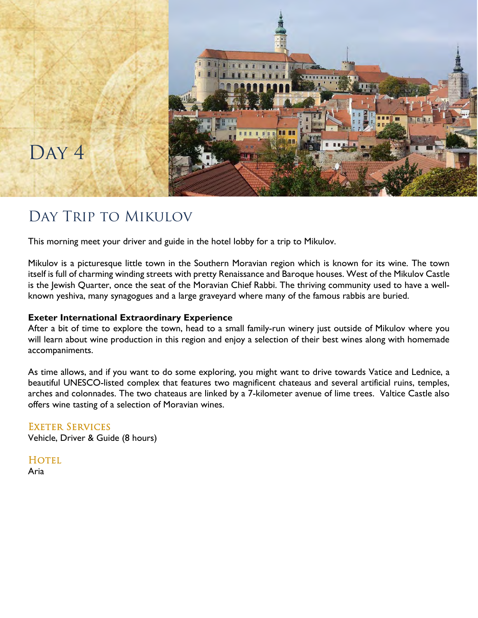

# DAY<sub>4</sub>

## Day Trip to Mikulov

This morning meet your driver and guide in the hotel lobby for a trip to Mikulov.

Mikulov is a picturesque little town in the Southern Moravian region which is known for its wine. The town itself is full of charming winding streets with pretty Renaissance and Baroque houses. West of the Mikulov Castle is the Jewish Quarter, once the seat of the Moravian Chief Rabbi. The thriving community used to have a wellknown yeshiva, many synagogues and a large graveyard where many of the famous rabbis are buried.

### **Exeter International Extraordinary Experience**

After a bit of time to explore the town, head to a small family-run winery just outside of Mikulov where you will learn about wine production in this region and enjoy a selection of their best wines along with homemade accompaniments.

As time allows, and if you want to do some exploring, you might want to drive towards Vatice and Lednice, a beautiful UNESCO-listed complex that features two magnificent chateaus and several artificial ruins, temples, arches and colonnades. The two chateaus are linked by a 7-kilometer avenue of lime trees. Valtice Castle also offers wine tasting of a selection of Moravian wines.

### Exeter Services

Vehicle, Driver & Guide (8 hours)

**HOTEL**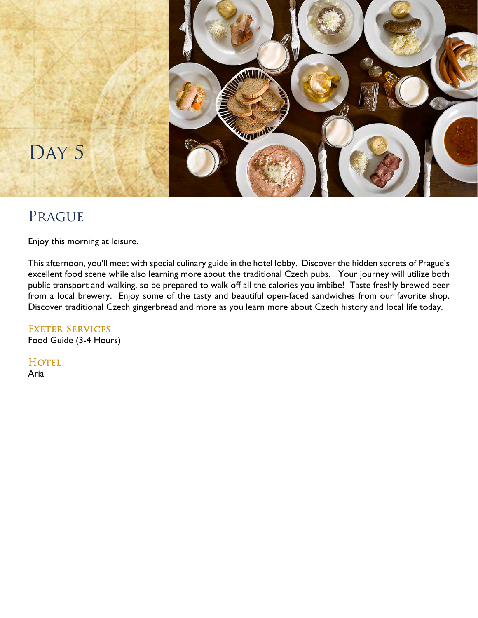

## Prague

Enjoy this morning at leisure.

This afternoon, you'll meet with special culinary guide in the hotel lobby. Discover the hidden secrets of Prague's excellent food scene while also learning more about the traditional Czech pubs. Your journey will utilize both public transport and walking, so be prepared to walk off all the calories you imbibe! Taste freshly brewed beer from a local brewery. Enjoy some of the tasty and beautiful open-faced sandwiches from our favorite shop. Discover traditional Czech gingerbread and more as you learn more about Czech history and local life today.

### EXETER SERVICES

Food Guide (3-4 Hours)

HOTEL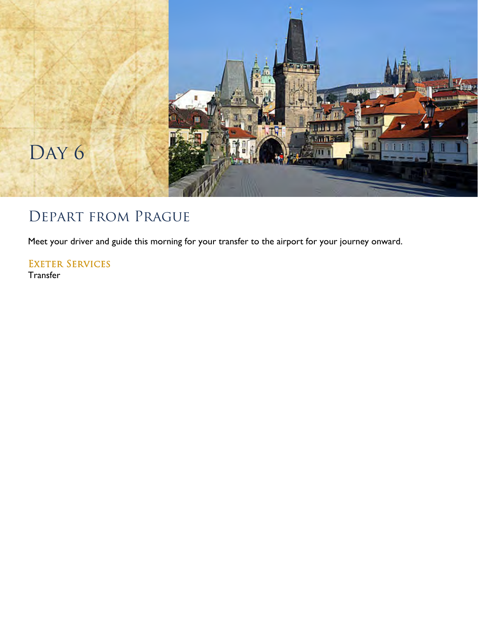

# Depart from Prague

Meet your driver and guide this morning for your transfer to the airport for your journey onward.

EXETER SERVICES Transfer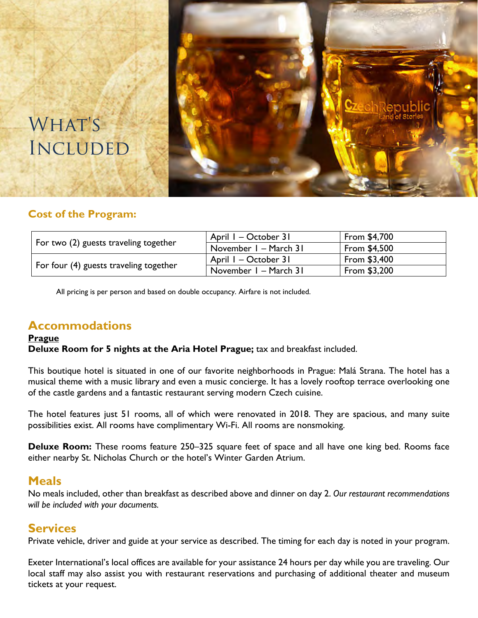

# WHAT'S **INCLUDED**

### **Cost of the Program:**

| For two (2) guests traveling together  | April I - October 31  | From \$4,700  |
|----------------------------------------|-----------------------|---------------|
|                                        | November I - March 31 | From $$4,500$ |
| For four (4) guests traveling together | April I – October 31  | From \$3,400  |
|                                        | November I - March 31 | From \$3,200  |

All pricing is per person and based on double occupancy. Airfare is not included.

### **Accommodations**

### **Prague**

**Deluxe Room for 5 nights at the Aria Hotel Prague;** tax and breakfast included.

This boutique hotel is situated in one of our favorite neighborhoods in Prague: Malá Strana. The hotel has a musical theme with a music library and even a music concierge. It has a lovely rooftop terrace overlooking one of the castle gardens and a fantastic restaurant serving modern Czech cuisine.

The hotel features just 51 rooms, all of which were renovated in 2018. They are spacious, and many suite possibilities exist. All rooms have complimentary Wi-Fi. All rooms are nonsmoking.

**Deluxe Room:** These rooms feature 250–325 square feet of space and all have one king bed. Rooms face either nearby St. Nicholas Church or the hotel's Winter Garden Atrium.

### **Meals**

No meals included, other than breakfast as described above and dinner on day 2. *Our restaurant recommendations will be included with your documents.* 

### **Services**

Private vehicle, driver and guide at your service as described. The timing for each day is noted in your program.

Exeter International's local offices are available for your assistance 24 hours per day while you are traveling. Our local staff may also assist you with restaurant reservations and purchasing of additional theater and museum tickets at your request.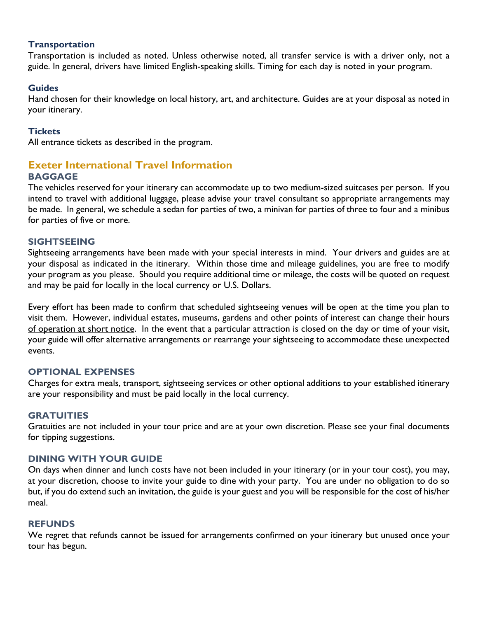### **Transportation**

Transportation is included as noted. Unless otherwise noted, all transfer service is with a driver only, not a guide. In general, drivers have limited English-speaking skills. Timing for each day is noted in your program.

### **Guides**

Hand chosen for their knowledge on local history, art, and architecture. Guides are at your disposal as noted in your itinerary.

#### **Tickets**

All entrance tickets as described in the program.

### **Exeter International Travel Information BAGGAGE**

The vehicles reserved for your itinerary can accommodate up to two medium-sized suitcases per person. If you intend to travel with additional luggage, please advise your travel consultant so appropriate arrangements may be made. In general, we schedule a sedan for parties of two, a minivan for parties of three to four and a minibus for parties of five or more.

### **SIGHTSEEING**

Sightseeing arrangements have been made with your special interests in mind. Your drivers and guides are at your disposal as indicated in the itinerary. Within those time and mileage guidelines, you are free to modify your program as you please. Should you require additional time or mileage, the costs will be quoted on request and may be paid for locally in the local currency or U.S. Dollars.

Every effort has been made to confirm that scheduled sightseeing venues will be open at the time you plan to visit them. However, individual estates, museums, gardens and other points of interest can change their hours of operation at short notice. In the event that a particular attraction is closed on the day or time of your visit, your guide will offer alternative arrangements or rearrange your sightseeing to accommodate these unexpected events.

### **OPTIONAL EXPENSES**

Charges for extra meals, transport, sightseeing services or other optional additions to your established itinerary are your responsibility and must be paid locally in the local currency.

### **GRATUITIES**

Gratuities are not included in your tour price and are at your own discretion. Please see your final documents for tipping suggestions.

### **DINING WITH YOUR GUIDE**

On days when dinner and lunch costs have not been included in your itinerary (or in your tour cost), you may, at your discretion, choose to invite your guide to dine with your party. You are under no obligation to do so but, if you do extend such an invitation, the guide is your guest and you will be responsible for the cost of his/her meal.

#### **REFUNDS**

We regret that refunds cannot be issued for arrangements confirmed on your itinerary but unused once your tour has begun.